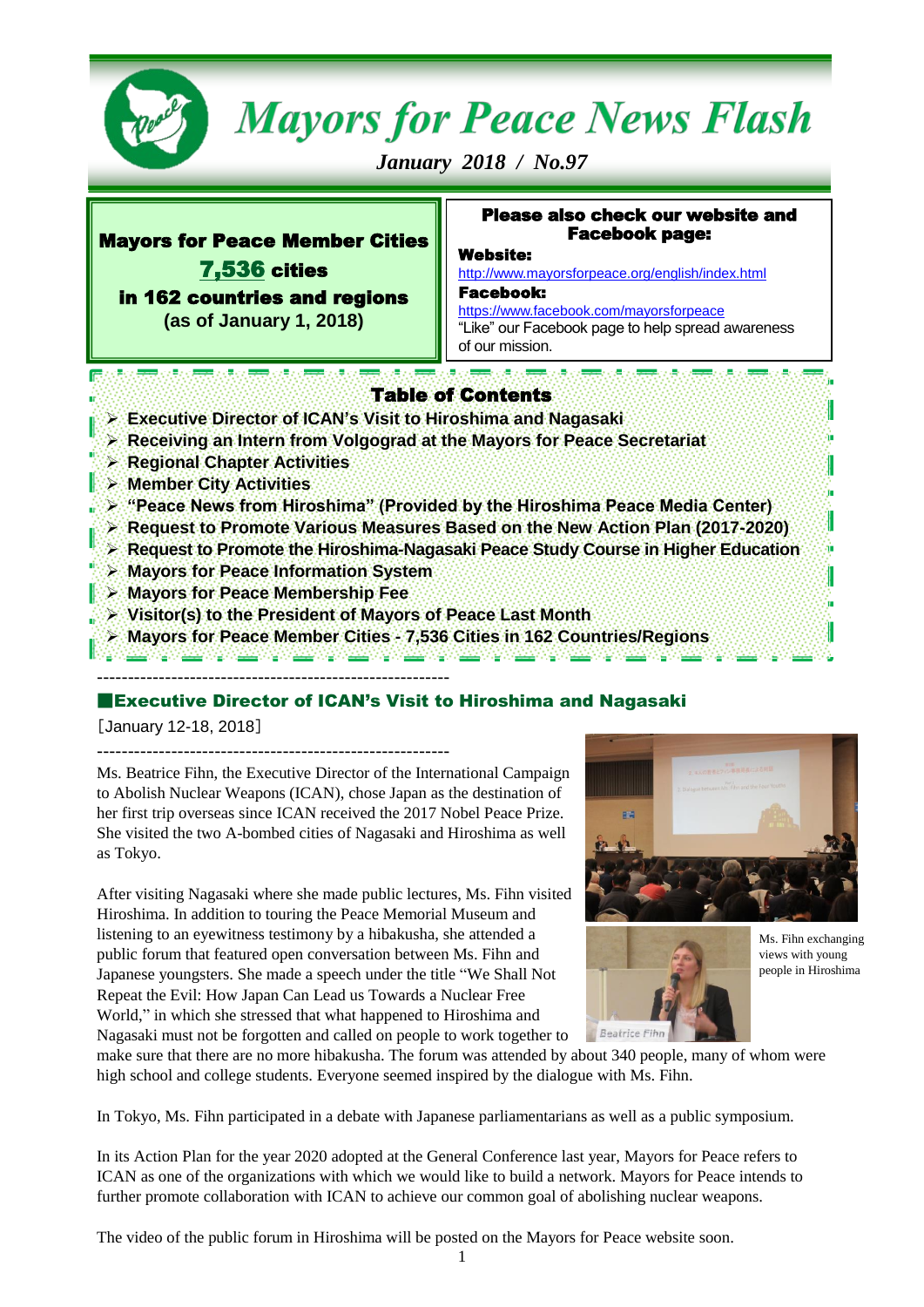

# **Mayors for Peace News Flash**

*January 2018 / No.97* 

# Mayors for Peace Member Cities 7,536 cities in 162 countries and regions

٦

**(as of January 1, 2018)**

### Please also check our website and Facebook page:

### Website:

<http://www.mayorsforpeace.org/english/index.html> Facebook:

<https://www.facebook.com/mayorsforpeace> "Like" our Facebook page to help spread awareness of our mission.

# Table of Contents

- **Executive Director of ICAN's Visit to Hiroshima and Nagasaki**
- **Receiving an Intern from Volgograd at the Mayors for Peace Secretariat**
- **Regional Chapter Activities**
- **Nember City Activities**
- **"**  $\triangleright$  "Peace News from Hiroshima" (Provided by the Hiroshima Peace Media Center)
- **Request to Promote Various Measures Based on the New Action Plan (2017-2020)**
- **Request to Promote the Hiroshima-Nagasaki Peace Study Course in Higher Education**
- **Mayors for Peace Information System**
- **Mayors for Peace Membership Fee**
- **Visitor(s) to the President of Mayors of Peace Last Month**
- **Mayors for Peace Member Cities - 7,536 Cities in 162 Countries/Regions**

### --------------------------------------------------------- ■Executive Director of ICAN's Visit to Hiroshima and Nagasaki

[January 12-18, 2018]

---------------------------------------------------------





Ms. Fihn exchanging views with young people in Hiroshima

Ms. Beatrice Fihn, the Executive Director of th[e International Campaign](https://reachingcriticalwill.us3.list-manage.com/track/click?u=c9787c74933a00a9066ba32d5&id=e23992acc9&e=c445826d93)  [to Abolish Nuclear Weapons \(ICAN\),](https://reachingcriticalwill.us3.list-manage.com/track/click?u=c9787c74933a00a9066ba32d5&id=e23992acc9&e=c445826d93) chose Japan as the destination of her first trip overseas since ICAN received the 2017 Nobel Peace Prize. She visited the two A-bombed cities of Nagasaki and Hiroshima as well as Tokyo.

After visiting Nagasaki where she made public lectures, Ms. Fihn visited Hiroshima. In addition to touring the Peace Memorial Museum and listening to an eyewitness testimony by a hibakusha, she attended a public forum that featured open conversation between Ms. Fihn and Japanese youngsters. She made a speech under the title "We Shall Not Repeat the Evil: How Japan Can Lead us Towards a Nuclear Free World," in which she stressed that what happened to Hiroshima and Nagasaki must not be forgotten and called on people to work together to

Beatrice Fin

make sure that there are no more hibakusha. The forum was attended by about 340 people, many of whom were high school and college students. Everyone seemed inspired by the dialogue with Ms. Fihn.

In Tokyo, Ms. Fihn participated in a debate with Japanese parliamentarians as well as a public symposium.

In its Action Plan for the year 2020 adopted at the General Conference last year, Mayors for Peace refers to ICAN as one of the organizations with which we would like to build a network. Mayors for Peace intends to further promote collaboration with ICAN to achieve our common goal of abolishing nuclear weapons.

The video of the public forum in Hiroshima will be posted on the Mayors for Peace website soon.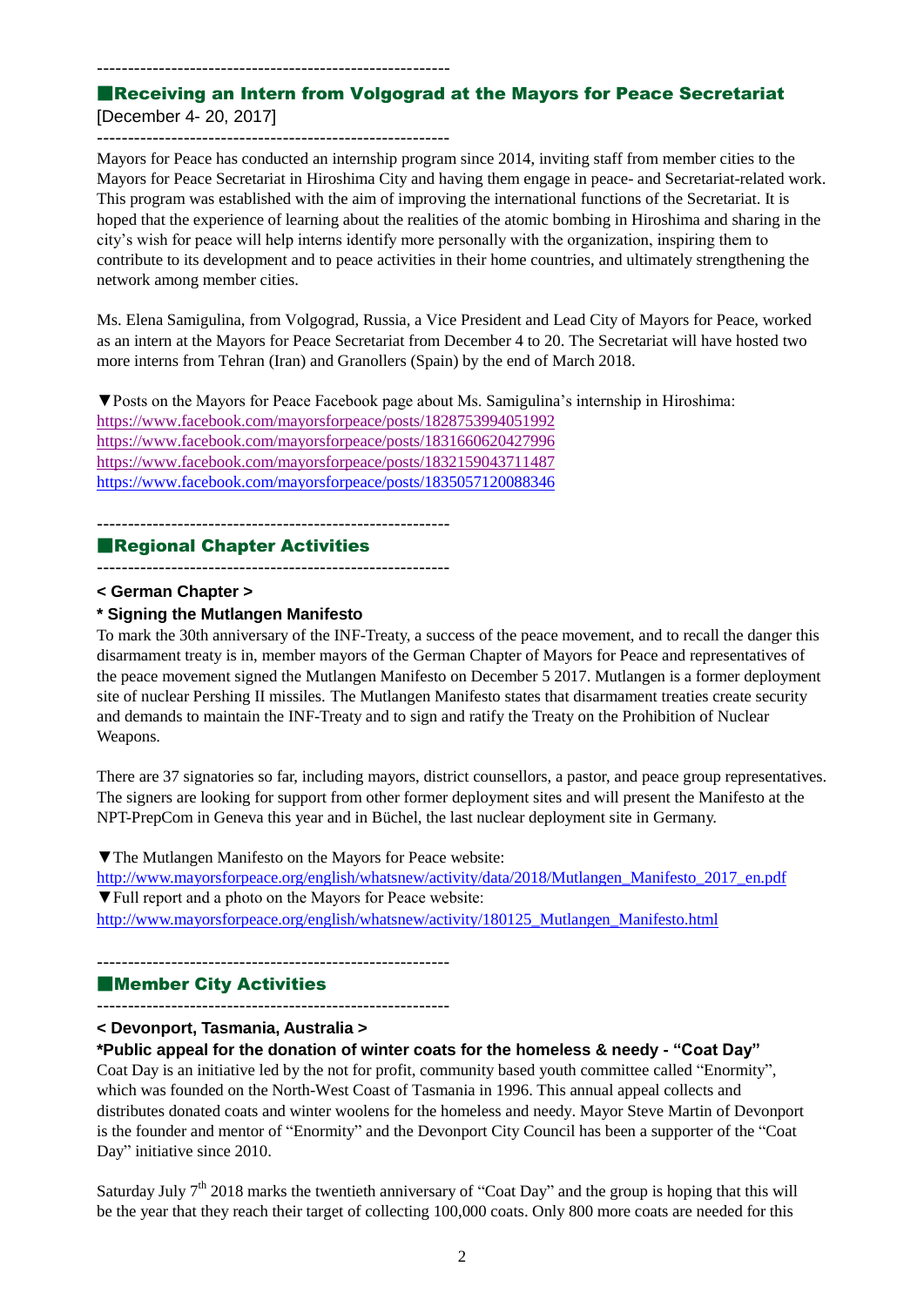### ---------------------------------------------------------

### ■Receiving an Intern from Volgograd at the Mayors for Peace Secretariat [December 4- 20, 2017]

Mayors for Peace has conducted an internship program since 2014, inviting staff from member cities to the Mayors for Peace Secretariat in Hiroshima City and having them engage in peace- and Secretariat-related work. This program was established with the aim of improving the international functions of the Secretariat. It is hoped that the experience of learning about the realities of the atomic bombing in Hiroshima and sharing in the city's wish for peace will help interns identify more personally with the organization, inspiring them to contribute to its development and to peace activities in their home countries, and ultimately strengthening the network among member cities.

Ms. Elena Samigulina, from Volgograd, Russia, a Vice President and Lead City of Mayors for Peace, worked as an intern at the Mayors for Peace Secretariat from December 4 to 20. The Secretariat will have hosted two more interns from Tehran (Iran) and Granollers (Spain) by the end of March 2018.

▼Posts on the Mayors for Peace Facebook page about Ms. Samigulina's internship in Hiroshima: <https://www.facebook.com/mayorsforpeace/posts/1828753994051992> <https://www.facebook.com/mayorsforpeace/posts/1831660620427996> <https://www.facebook.com/mayorsforpeace/posts/1832159043711487> https://www.facebook.com/mayorsforpeace/posts/1835057120088346

### ---------------------------------------------------------

### ■Regional Chapter Activities

---------------------------------------------------------

### **< German Chapter >**

### **\* Signing the Mutlangen Manifesto**

To mark the 30th anniversary of the INF-Treaty, a success of the peace movement, and to recall the danger this disarmament treaty is in, member mayors of the German Chapter of Mayors for Peace and representatives of the peace movement signed the Mutlangen Manifesto on December 5 2017. Mutlangen is a former deployment site of nuclear Pershing II missiles. The Mutlangen Manifesto states that disarmament treaties create security and demands to maintain the INF-Treaty and to sign and ratify the Treaty on the Prohibition of Nuclear Weapons.

There are 37 signatories so far, including mayors, district counsellors, a pastor, and peace group representatives. The signers are looking for support from other former deployment sites and will present the Manifesto at the NPT-PrepCom in Geneva this year and in Büchel, the last nuclear deployment site in Germany.

▼The Mutlangen Manifesto on the Mayors for Peace website: [http://www.mayorsforpeace.org/english/whatsnew/activity/data/2018/Mutlangen\\_Manifesto\\_2017\\_en.pdf](http://www.mayorsforpeace.org/english/whatsnew/activity/data/2018/Mutlangen_Manifesto_2017_en.pdf) ▼Full report and a photo on the Mayors for Peace website: [http://www.mayorsforpeace.org/english/whatsnew/activity/180125\\_Mutlangen\\_Manifesto.html](http://www.mayorsforpeace.org/english/whatsnew/activity/180125_Mutlangen_Manifesto.html)

### ■Member City Activities

---------------------------------------------------------

---------------------------------------------------------

**< Devonport, Tasmania, Australia >**

### **\*Public appeal for the donation of winter coats for the homeless & needy - "Coat Day"**

Coat Day is an initiative led by the not for profit, community based youth committee called "Enormity", which was founded on the North-West Coast of Tasmania in 1996. This annual appeal collects and distributes donated coats and winter woolens for the homeless and needy. Mayor Steve Martin of Devonport is the founder and mentor of "Enormity" and the Devonport City Council has been a supporter of the "Coat Day" initiative since 2010.

Saturday July  $7<sup>th</sup>$  2018 marks the twentieth anniversary of "Coat Day" and the group is hoping that this will be the year that they reach their target of collecting 100,000 coats. Only 800 more coats are needed for this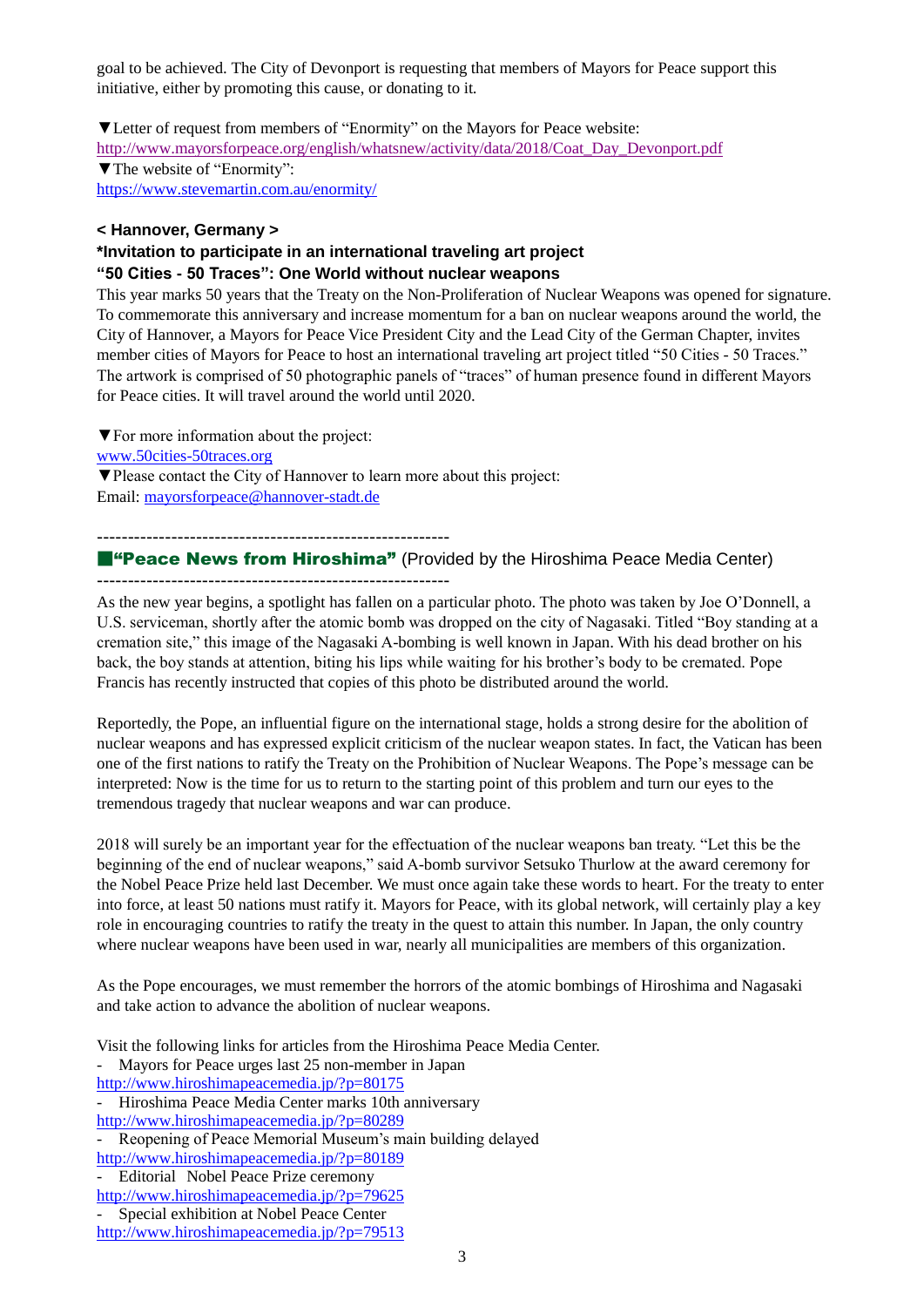goal to be achieved. The City of Devonport is requesting that members of Mayors for Peace support this initiative, either by promoting this cause, or donating to it.

▼Letter of request from members of "Enormity" on the Mayors for Peace website: [http://www.mayorsforpeace.org/english/whatsnew/activity/data/2018/Coat\\_Day\\_Devonport.pdf](http://www.mayorsforpeace.org/english/whatsnew/activity/data/2018/Coat_Day_Devonport.pdf) ▼The website of "Enormity": <https://www.stevemartin.com.au/enormity/>

### **< Hannover, Germany >**

### **\*Invitation to participate in an international traveling art project "50 Cities - 50 Traces": One World without nuclear weapons**

This year marks 50 years that the Treaty on the Non-Proliferation of Nuclear Weapons was opened for signature. To commemorate this anniversary and increase momentum for a ban on nuclear weapons around the world, the City of Hannover, a Mayors for Peace Vice President City and the Lead City of the German Chapter, invites member cities of Mayors for Peace to host an international traveling art project titled "50 Cities - 50 Traces." The artwork is comprised of 50 photographic panels of "traces" of human presence found in different Mayors for Peace cities. It will travel around the world until 2020.

▼For more information about the project: [www.50cities-50traces.org](http://www.50cities-50traces.org/) ▼Please contact the City of Hannover to learn more about this project: Email: [mayorsforpeace@hannover-stadt.de](mailto:mayorsforpeace@hannover-stadt.de)

---------------------------------------------------------

### ■"Peace News from Hiroshima" (Provided by the Hiroshima Peace Media Center) ---------------------------------------------------------

As the new year begins, a spotlight has fallen on a particular photo. The photo was taken by Joe O'Donnell, a U.S. serviceman, shortly after the atomic bomb was dropped on the city of Nagasaki. Titled "Boy standing at a cremation site," this image of the Nagasaki A-bombing is well known in Japan. With his dead brother on his back, the boy stands at attention, biting his lips while waiting for his brother's body to be cremated. Pope Francis has recently instructed that copies of this photo be distributed around the world.

Reportedly, the Pope, an influential figure on the international stage, holds a strong desire for the abolition of nuclear weapons and has expressed explicit criticism of the nuclear weapon states. In fact, the Vatican has been one of the first nations to ratify the Treaty on the Prohibition of Nuclear Weapons. The Pope's message can be interpreted: Now is the time for us to return to the starting point of this problem and turn our eyes to the tremendous tragedy that nuclear weapons and war can produce.

2018 will surely be an important year for the effectuation of the nuclear weapons ban treaty. "Let this be the beginning of the end of nuclear weapons," said A-bomb survivor Setsuko Thurlow at the award ceremony for the Nobel Peace Prize held last December. We must once again take these words to heart. For the treaty to enter into force, at least 50 nations must ratify it. Mayors for Peace, with its global network, will certainly play a key role in encouraging countries to ratify the treaty in the quest to attain this number. In Japan, the only country where nuclear weapons have been used in war, nearly all municipalities are members of this organization.

As the Pope encourages, we must remember the horrors of the atomic bombings of Hiroshima and Nagasaki and take action to advance the abolition of nuclear weapons.

Visit the following links for articles from the Hiroshima Peace Media Center.

- Mayors for Peace urges last 25 non-member in Japan

<http://www.hiroshimapeacemedia.jp/?p=80175>

- Hiroshima Peace Media Center marks 10th anniversary

<http://www.hiroshimapeacemedia.jp/?p=80289>

Reopening of Peace Memorial Museum's main building delayed

<http://www.hiroshimapeacemedia.jp/?p=80189>

- Editorial Nobel Peace Prize ceremony

<http://www.hiroshimapeacemedia.jp/?p=79625>

Special exhibition at Nobel Peace Center <http://www.hiroshimapeacemedia.jp/?p=79513>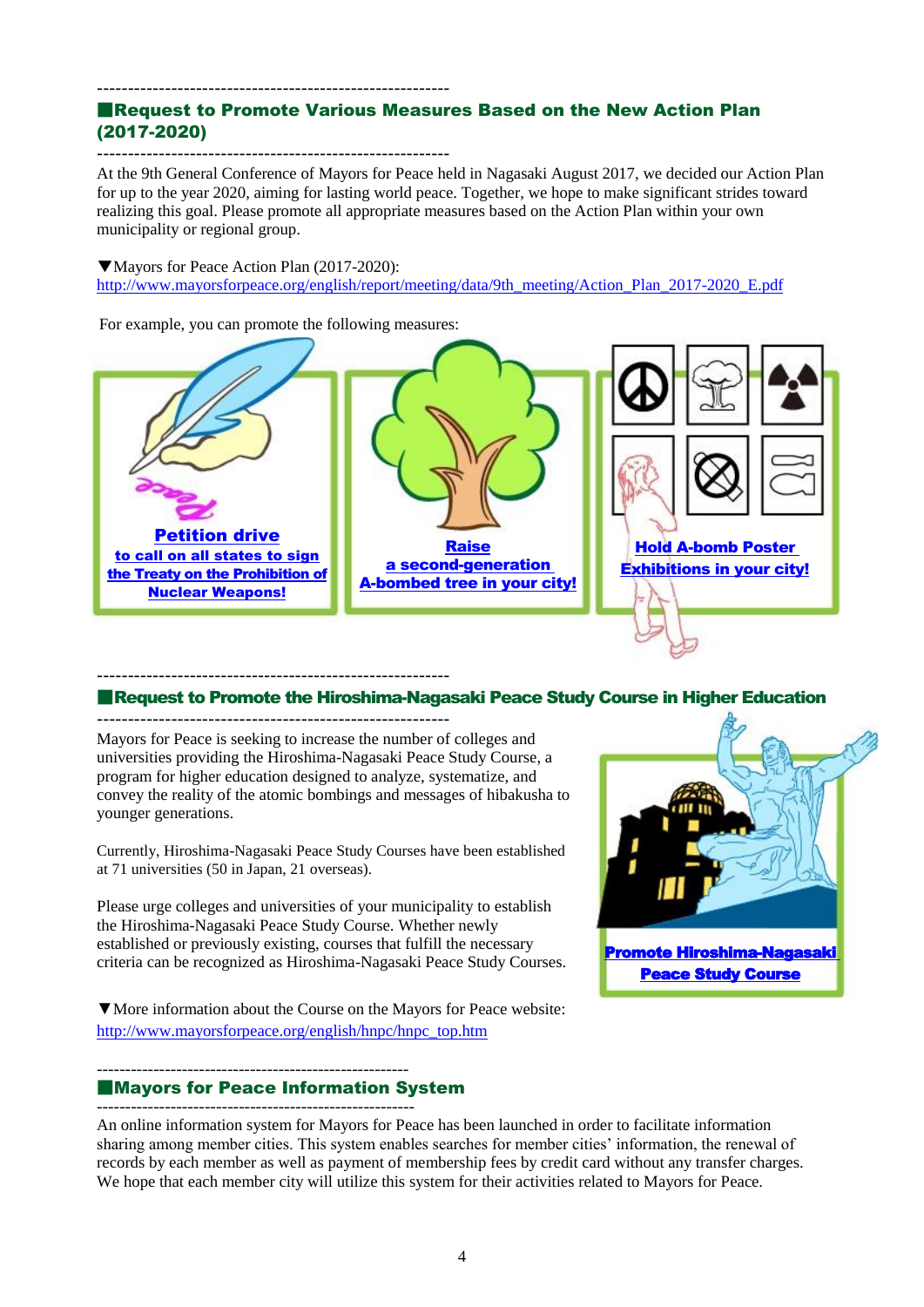### --------------------------------------------------------- ■Request to Promote Various Measures Based on the New Action Plan (2017-2020)

--------------------------------------------------------- At the 9th General Conference of Mayors for Peace held in Nagasaki August 2017, we decided our Action Plan for up to the year 2020, aiming for lasting world peace. Together, we hope to make significant strides toward realizing this goal. Please promote all appropriate measures based on the Action Plan within your own municipality or regional group.

▼Mayors for Peace Action Plan (2017-2020): [http://www.mayorsforpeace.org/english/report/meeting/data/9th\\_meeting/Action\\_Plan\\_2017-2020\\_E.pdf](http://www.mayorsforpeace.org/english/report/meeting/data/9th_meeting/Action_Plan_2017-2020_E.pdf)

For example, you can promote the following measures:



### --------------------------------------------------------- ■Request to Promote the Hiroshima-Nagasaki Peace Study Course in Higher Education

Mayors for Peace is seeking to increase the number of colleges and universities providing the Hiroshima-Nagasaki Peace Study Course, a program for higher education designed to analyze, systematize, and convey the reality of the atomic bombings and messages of hibakusha to younger generations.

Currently, Hiroshima-Nagasaki Peace Study Courses have been established at 71 universities (50 in Japan, 21 overseas).

Please urge colleges and universities of your municipality to establish the Hiroshima-Nagasaki Peace Study Course. Whether newly established or previously existing, courses that fulfill the necessary criteria can be recognized as Hiroshima-Nagasaki Peace Study Courses.

▼More information about the Course on the Mayors for Peace website: http://www.mayorsforpeace.org/english/hnpc/hnpc\_top.htm

------------------------------------------------------- ■Mayors for Peace Information System --------------------------------------------------------

An online information system for Mayors for Peace has been launched in order to facilitate information sharing among member cities. This system enables searches for member cities' information, the renewal of records by each member as well as payment of membership fees by credit card without any transfer charges. We hope that each member city will utilize this system for their activities related to Mayors for Peace.

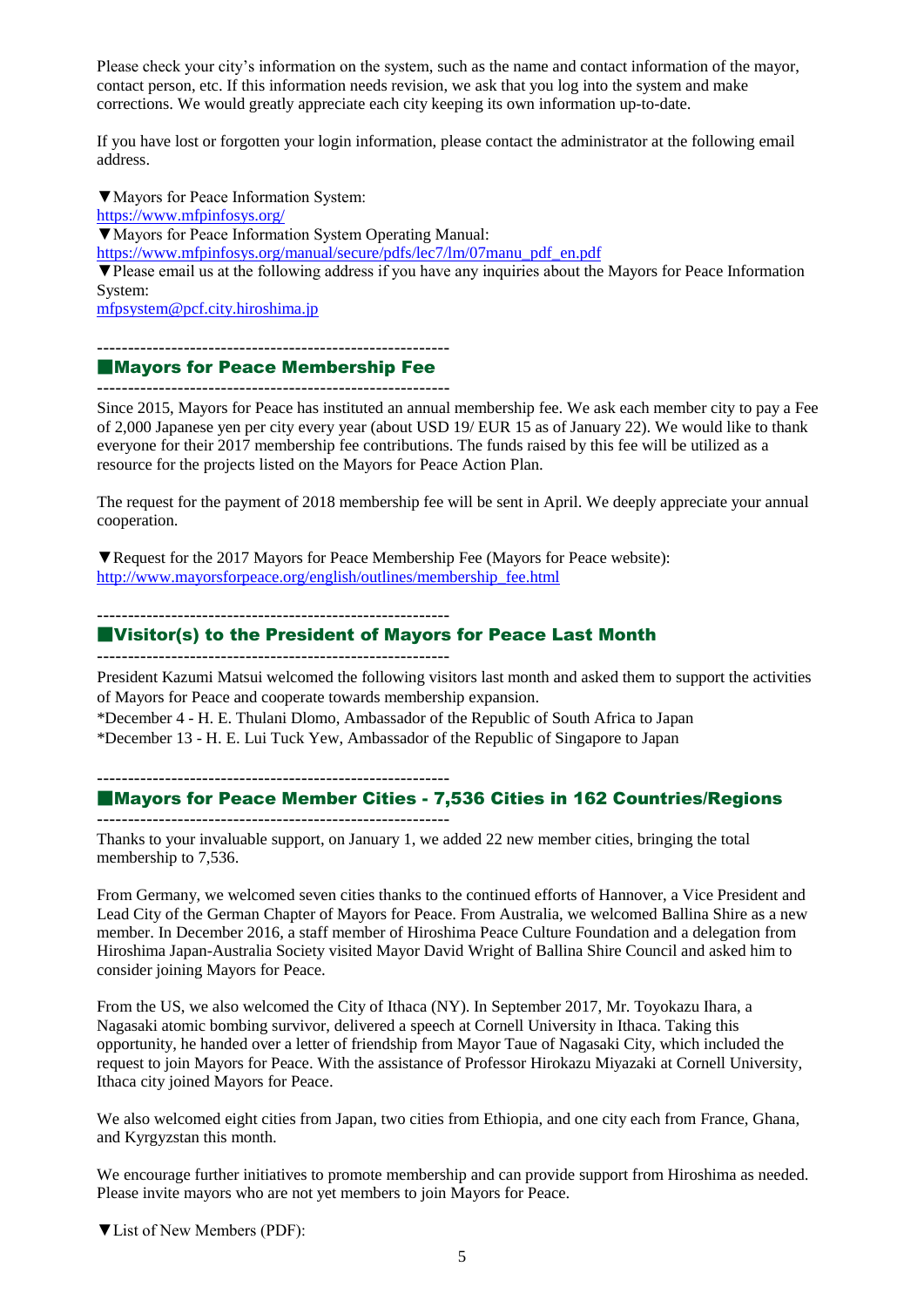Please check your city's information on the system, such as the name and contact information of the mayor, contact person, etc. If this information needs revision, we ask that you log into the system and make corrections. We would greatly appreciate each city keeping its own information up-to-date.

If you have lost or forgotten your login information, please contact the administrator at the following email address.

▼Mayors for Peace Information System: <https://www.mfpinfosys.org/> ▼Mayors for Peace Information System Operating Manual: [https://www.mfpinfosys.org/manual/secure/pdfs/lec7/lm/07manu\\_pdf\\_en.pdf](https://www.mfpinfosys.org/manual/secure/pdfs/lec7/lm/07manu_pdf_en.pdf) ▼Please email us at the following address if you have any inquiries about the Mayors for Peace Information System: [mfpsystem@pcf.city.hiroshima.jp](mailto:mfpsystem@pcf.city.hiroshima.jp)

---------------------------------------------------------

### ■Mayors for Peace Membership Fee

---------------------------------------------------------

Since 2015, Mayors for Peace has instituted an annual membership fee. We ask each member city to pay a Fee of 2,000 Japanese yen per city every year (about USD 19/ EUR 15 as of January 22). We would like to thank everyone for their 2017 membership fee contributions. The funds raised by this fee will be utilized as a resource for the projects listed on the Mayors for Peace Action Plan.

The request for the payment of 2018 membership fee will be sent in April. We deeply appreciate your annual cooperation.

▼Request for the 2017 [Mayors for Peace Membership Fee](http://www.mayorsforpeace.org/english/outlines/membership_fee.html) (Mayors for Peace website): [http://www.mayorsforpeace.org/english/outlines/membership\\_fee.html](http://www.mayorsforpeace.org/english/outlines/membership_fee.html)

---------------------------------------------------------

### ■Visitor(s) to the President of Mayors for Peace Last Month

---------------------------------------------------------

President Kazumi Matsui welcomed the following visitors last month and asked them to support the activities of Mayors for Peace and cooperate towards membership expansion.

\*December 4 - H. E. Thulani Dlomo, Ambassador of the Republic of South Africa to Japan

\*December 13 - H. E. Lui Tuck Yew, Ambassador of the Republic of Singapore to Japan

---------------------------------------------------------

### ■Mayors for Peace Member Cities - 7,536 Cities in 162 Countries/Regions

---------------------------------------------------------

Thanks to your invaluable support, on January 1, we added 22 new member cities, bringing the total membership to 7,536.

From Germany, we welcomed seven cities thanks to the continued efforts of Hannover, a Vice President and Lead City of the German Chapter of Mayors for Peace. From Australia, we welcomed Ballina Shire as a new member. In December 2016, a staff member of Hiroshima Peace Culture Foundation and a delegation from Hiroshima Japan-Australia Society visited Mayor David Wright of Ballina Shire Council and asked him to consider joining Mayors for Peace.

From the US, we also welcomed the City of Ithaca (NY). In September 2017, Mr. Toyokazu Ihara, a Nagasaki atomic bombing survivor, delivered a speech at Cornell University in Ithaca. Taking this opportunity, he handed over a letter of friendship from Mayor Taue of Nagasaki City, which included the request to join Mayors for Peace. With the assistance of Professor Hirokazu Miyazaki at Cornell University, Ithaca city joined Mayors for Peace.

We also welcomed eight cities from Japan, two cities from Ethiopia, and one city each from France, Ghana, and Kyrgyzstan this month.

We encourage further initiatives to promote membership and can provide support from Hiroshima as needed. Please invite mayors who are not yet members to join Mayors for Peace.

▼List of New Members (PDF):